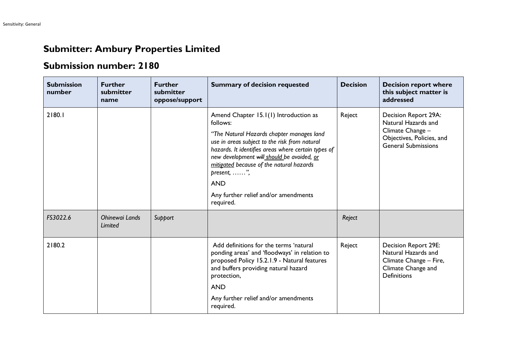## **Submitter: Ambury Properties Limited**

## **Submission number: 2180**

| <b>Submission</b><br>number | <b>Further</b><br>submitter<br>name | <b>Further</b><br>submitter<br>oppose/support | <b>Summary of decision requested</b>                                                                                                                                                                                                                                                                                                                                               | <b>Decision</b> | <b>Decision report where</b><br>this subject matter is<br>addressed                                                        |
|-----------------------------|-------------------------------------|-----------------------------------------------|------------------------------------------------------------------------------------------------------------------------------------------------------------------------------------------------------------------------------------------------------------------------------------------------------------------------------------------------------------------------------------|-----------------|----------------------------------------------------------------------------------------------------------------------------|
| 2180.1                      |                                     |                                               | Amend Chapter 15.1(1) Introduction as<br>follows:<br>"The Natural Hazards chapter manages land<br>use in areas subject to the risk from natural<br>hazards. It identifies areas where certain types of<br>new development will should be avoided, or<br>mitigated because of the natural hazards<br>present, ",<br><b>AND</b><br>Any further relief and/or amendments<br>required. | Reject          | Decision Report 29A:<br>Natural Hazards and<br>Climate Change -<br>Objectives, Policies, and<br><b>General Submissions</b> |
| FS3022.6                    | Ohinewai Lands<br>Limited           | Support                                       |                                                                                                                                                                                                                                                                                                                                                                                    | Reject          |                                                                                                                            |
| 2180.2                      |                                     |                                               | Add definitions for the terms 'natural<br>ponding areas' and 'floodways' in relation to<br>proposed Policy 15.2.1.9 - Natural features<br>and buffers providing natural hazard<br>protection,<br><b>AND</b>                                                                                                                                                                        | Reject          | Decision Report 29E:<br>Natural Hazards and<br>Climate Change - Fire,<br>Climate Change and<br><b>Definitions</b>          |
|                             |                                     |                                               | Any further relief and/or amendments<br>required.                                                                                                                                                                                                                                                                                                                                  |                 |                                                                                                                            |